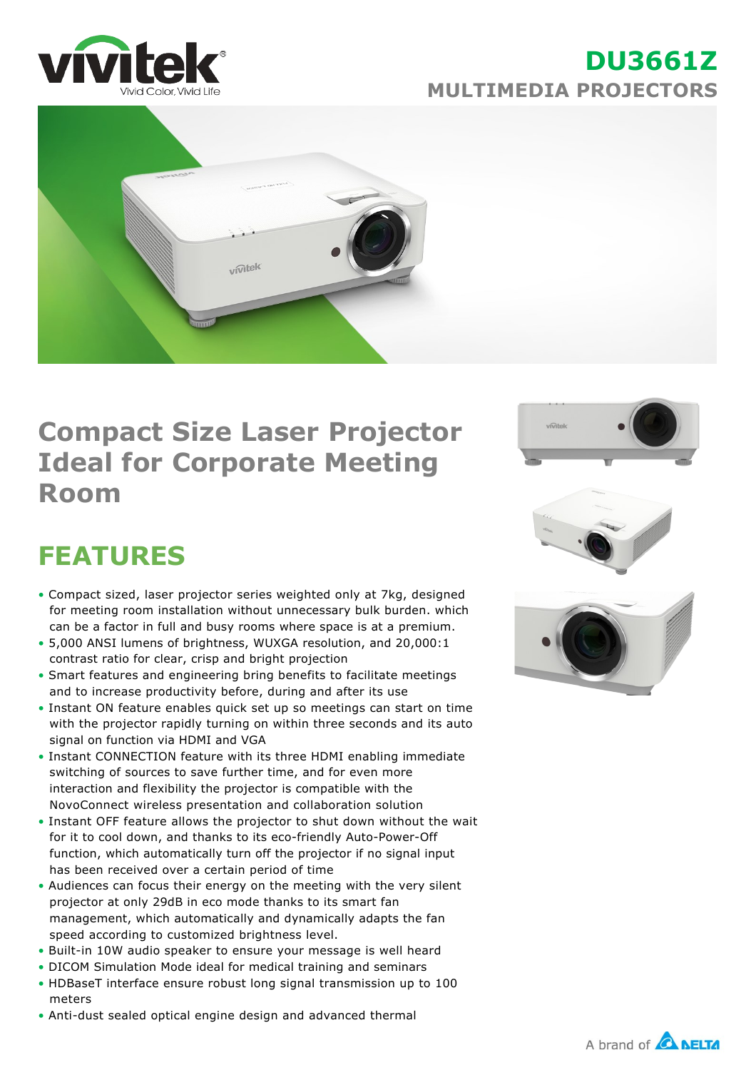

### **DU3661Z MULTIMEDIA PROJECTORS**



## **Compact Size Laser Projector Ideal for Corporate Meeting Room**

# **FEATURES**

- Compact sized, laser projector series weighted only at 7kg, designed for meeting room installation without unnecessary bulk burden. which can be a factor in full and busy rooms where space is at a premium.
- 5,000 ANSI lumens of brightness, WUXGA resolution, and 20,000:1 contrast ratio for clear, crisp and bright projection
- Smart features and engineering bring benefits to facilitate meetings and to increase productivity before, during and after its use
- Instant ON feature enables quick set up so meetings can start on time with the projector rapidly turning on within three seconds and its auto signal on function via HDMI and VGA
- Instant CONNECTION feature with its three HDMI enabling immediate switching of sources to save further time, and for even more interaction and flexibility the projector is compatible with the NovoConnect wireless presentation and collaboration solution
- Instant OFF feature allows the projector to shut down without the wait for it to cool down, and thanks to its eco-friendly Auto-Power-Off function, which automatically turn off the projector if no signal input has been received over a certain period of time
- Audiences can focus their energy on the meeting with the very silent projector at only 29dB in eco mode thanks to its smart fan management, which automatically and dynamically adapts the fan speed according to customized brightness level.
- Built-in 10W audio speaker to ensure your message is well heard
- DICOM Simulation Mode ideal for medical training and seminars
- HDBaseT interface ensure robust long signal transmission up to 100 meters
- Anti-dust sealed optical engine design and advanced thermal







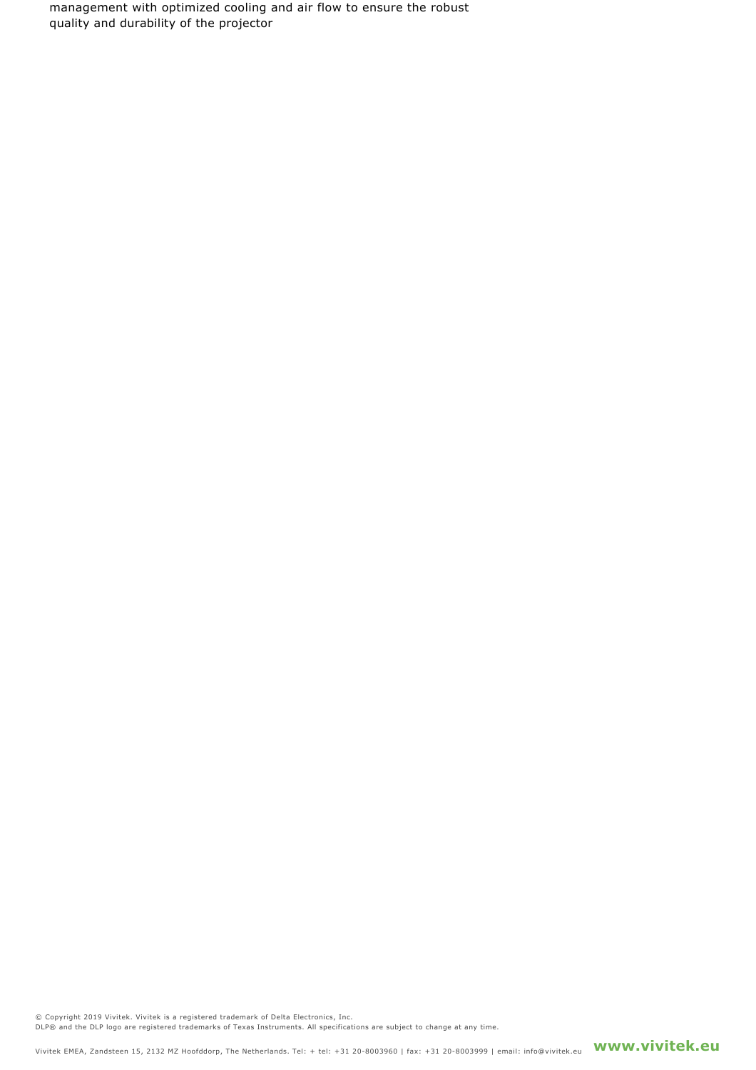management with optimized cooling and air flow to ensure the robust quality and durability of the projector

© Copyright 2019 Vivitek. Vivitek is a registered trademark of Delta Electronics, Inc. DLP® and the DLP logo are registered trademarks of Texas Instruments. All specifications are subject to change at any time.